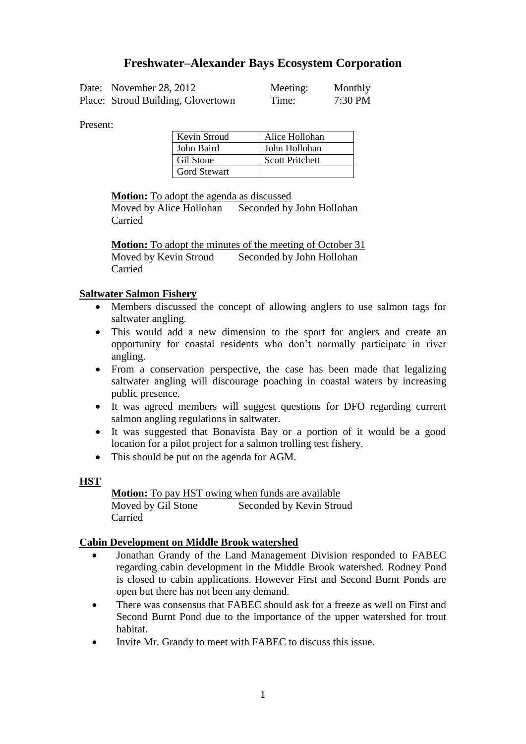# **Freshwater–Alexander Bays Ecosystem Corporation**

| Date: November 28, 2012            | Meeting: | Monthly |
|------------------------------------|----------|---------|
| Place: Stroud Building, Glovertown | Time:    | 7:30 PM |

Present:

| Kevin Stroud        | Alice Hollohan         |
|---------------------|------------------------|
| John Baird          | John Hollohan          |
| Gil Stone           | <b>Scott Pritchett</b> |
| <b>Gord Stewart</b> |                        |

**Motion:** To adopt the agenda as discussed

Moved by Alice Hollohan Seconded by John Hollohan Carried

**Motion:** To adopt the minutes of the meeting of October 31 Moved by Kevin Stroud Seconded by John Hollohan Carried

### **Saltwater Salmon Fishery**

- Members discussed the concept of allowing anglers to use salmon tags for saltwater angling.
- This would add a new dimension to the sport for anglers and create an opportunity for coastal residents who don't normally participate in river angling.
- From a conservation perspective, the case has been made that legalizing saltwater angling will discourage poaching in coastal waters by increasing public presence.
- It was agreed members will suggest questions for DFO regarding current salmon angling regulations in saltwater.
- It was suggested that Bonavista Bay or a portion of it would be a good location for a pilot project for a salmon trolling test fishery.
- This should be put on the agenda for AGM.

#### **HST**

**Motion:** To pay HST owing when funds are available Moved by Gil Stone Seconded by Kevin Stroud Carried

#### **Cabin Development on Middle Brook watershed**

- Jonathan Grandy of the Land Management Division responded to FABEC regarding cabin development in the Middle Brook watershed. Rodney Pond is closed to cabin applications. However First and Second Burnt Ponds are open but there has not been any demand.
- There was consensus that FABEC should ask for a freeze as well on First and Second Burnt Pond due to the importance of the upper watershed for trout habitat.
- Invite Mr. Grandy to meet with FABEC to discuss this issue.